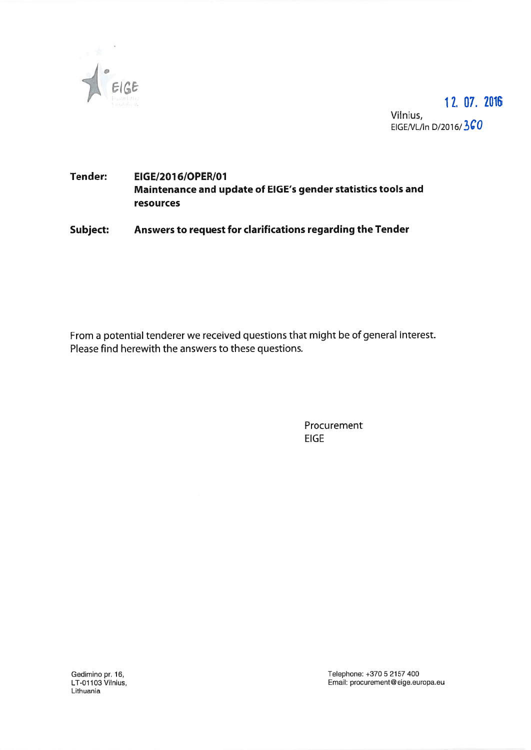

17. 07. 2016 Vilnius EIGE/VL/In D/2016/360

# Tender: EIGE/2076/OPER/O7 Maintenance and update of EIGE's gender statistics tools and resources

Subject: Answers to reques<sup>t</sup> for clarifications regarding the Tender

From <sup>a</sup> potential tenderer we received questions that might be of general interest. Please find herewith the answers to these questions.

> Procurement EIGE

Lithuania